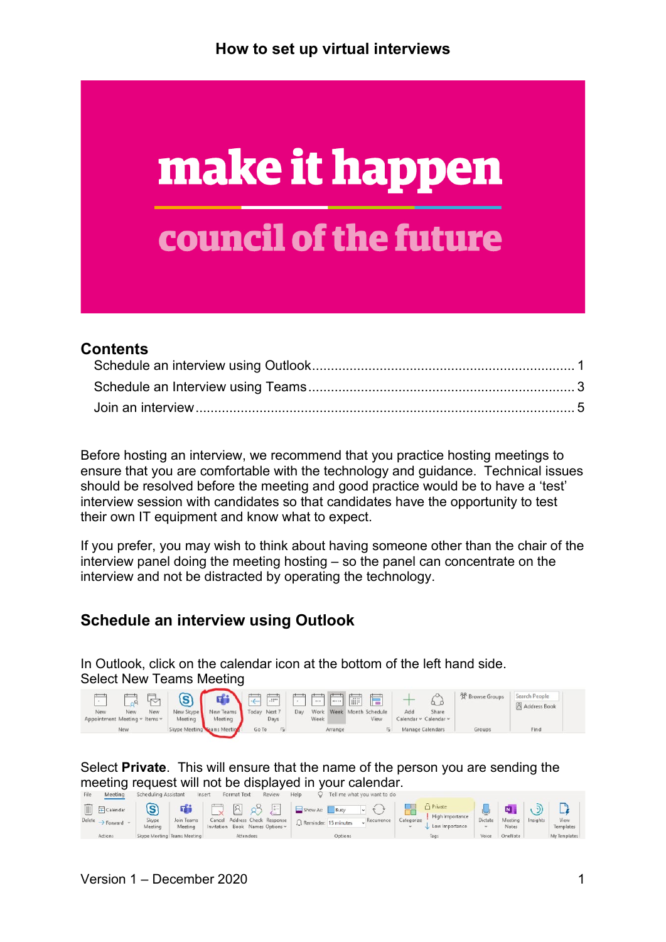

#### **Contents**

Before hosting an interview, we recommend that you practice hosting meetings to ensure that you are comfortable with the technology and guidance. Technical issues should be resolved before the meeting and good practice would be to have a 'test' interview session with candidates so that candidates have the opportunity to test their own IT equipment and know what to expect.

If you prefer, you may wish to think about having someone other than the chair of the interview panel doing the meeting hosting – so the panel can concentrate on the interview and not be distracted by operating the technology.

#### <span id="page-0-0"></span>**Schedule an interview using Outlook**

In Outlook, click on the calendar icon at the bottom of the left hand side. Select New Teams Meeting

|                                                    |         | d'i                         | 1日間                                      |     | $\cdots$ |         | $\overline{\phantom{a}}$ | 信                                |                  |                                | <sup>8</sup> Browse Groups | Search People |
|----------------------------------------------------|---------|-----------------------------|------------------------------------------|-----|----------|---------|--------------------------|----------------------------------|------------------|--------------------------------|----------------------------|---------------|
| New<br>New<br>New<br>Appointment Meeting ~ Items ~ | Meeting | Meeting                     | New Skype New Teams Today Next 7<br>Days | Day | Week     |         |                          | Work Week Month Schedule<br>View | Add              | Share<br>Calendar v Calendar v |                            | Address Book  |
| <b>New</b>                                         |         | Skype Meeting Ceams Meeting | Go To                                    |     |          | Arrange |                          |                                  | Manage Calendars |                                | Groups                     | Find          |

Select **Private**. This will ensure that the name of the person you are sending the meeting request will not be displayed in your calendar.

|                                     | meeunu          | <b>SCHEDDING WESTSTEIN</b> |                             | 113211 | FUILID ITAL                                  | <b>NEVIEW</b> | usih                          | TEILINE WITH YOU WANT TO UD.  |            |                                   |           |                     |          |              |  |
|-------------------------------------|-----------------|----------------------------|-----------------------------|--------|----------------------------------------------|---------------|-------------------------------|-------------------------------|------------|-----------------------------------|-----------|---------------------|----------|--------------|--|
| III                                 | $\Box$ Calendar | Skype                      | ni i                        |        | $\boxed{8}$<br>Cancel Address Check Response | $z =$         | Show As: Busy                 | $\sim$ 1 $\div$<br>Recurrence | Categorize | <b>Private</b><br>High Importance | Dictate   | <b>N</b><br>Meeting | Insights | View         |  |
| Delete $\rightarrow$ Forward $\sim$ |                 | Meeting                    | Join Teams<br>Meeting       |        | Invitation Book Names Options ~              |               | $\Omega$ Reminder: 15 minutes |                               |            | Low Importance                    | <b>SP</b> | Notes               |          | Templates    |  |
| Actions                             |                 |                            | Skype Meeting Teams Meeting |        | Attendees                                    |               | Options                       |                               |            | Tags                              | Voice     | OneNote             |          | My Templates |  |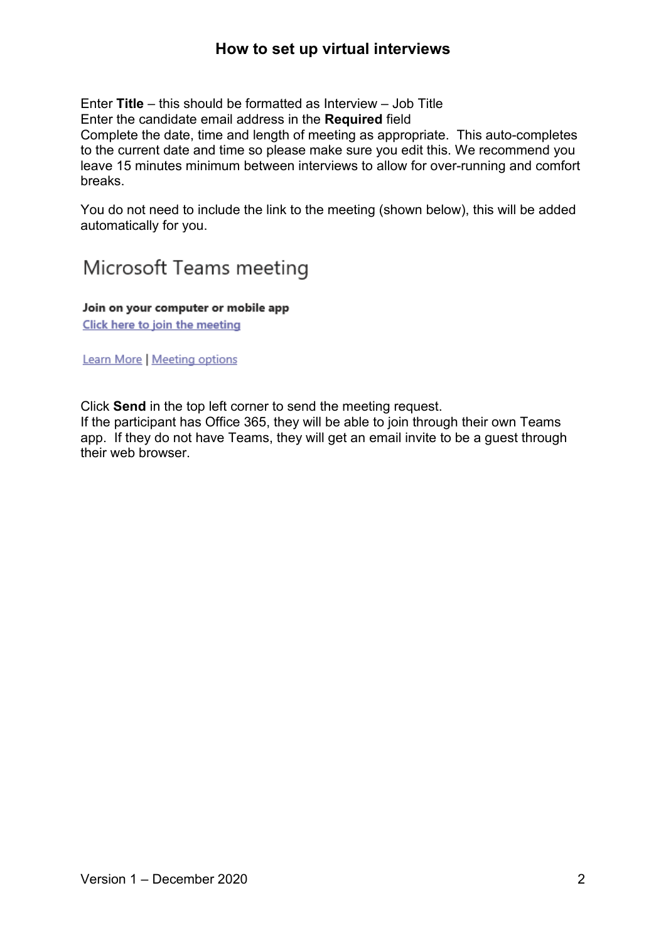Enter **Title** – this should be formatted as Interview – Job Title

Enter the candidate email address in the **Required** field

Complete the date, time and length of meeting as appropriate. This auto-completes to the current date and time so please make sure you edit this. We recommend you leave 15 minutes minimum between interviews to allow for over-running and comfort breaks.

You do not need to include the link to the meeting (shown below), this will be added automatically for you.

# Microsoft Teams meeting

Join on your computer or mobile app Click here to join the meeting

Learn More | Meeting options

Click **Send** in the top left corner to send the meeting request.

If the participant has Office 365, they will be able to join through their own Teams app. If they do not have Teams, they will get an email invite to be a guest through their web browser.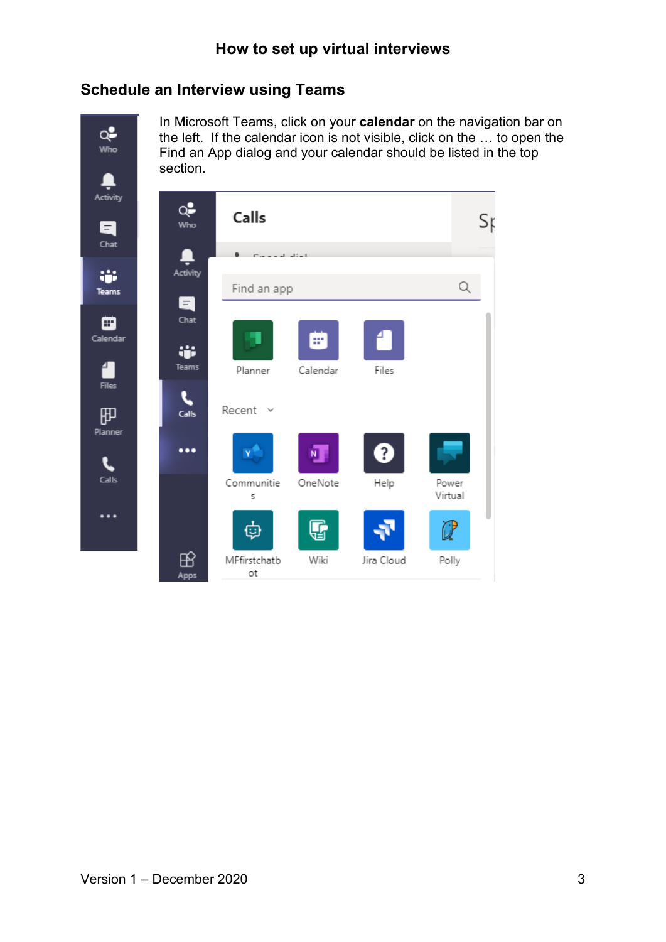#### <span id="page-2-0"></span>**Schedule an Interview using Teams**

Q.  $Who$ 

In Microsoft Teams, click on your **calendar** on the navigation bar on the left. If the calendar icon is not visible, click on the … to open the Find an App dialog and your calendar should be listed in the top section.

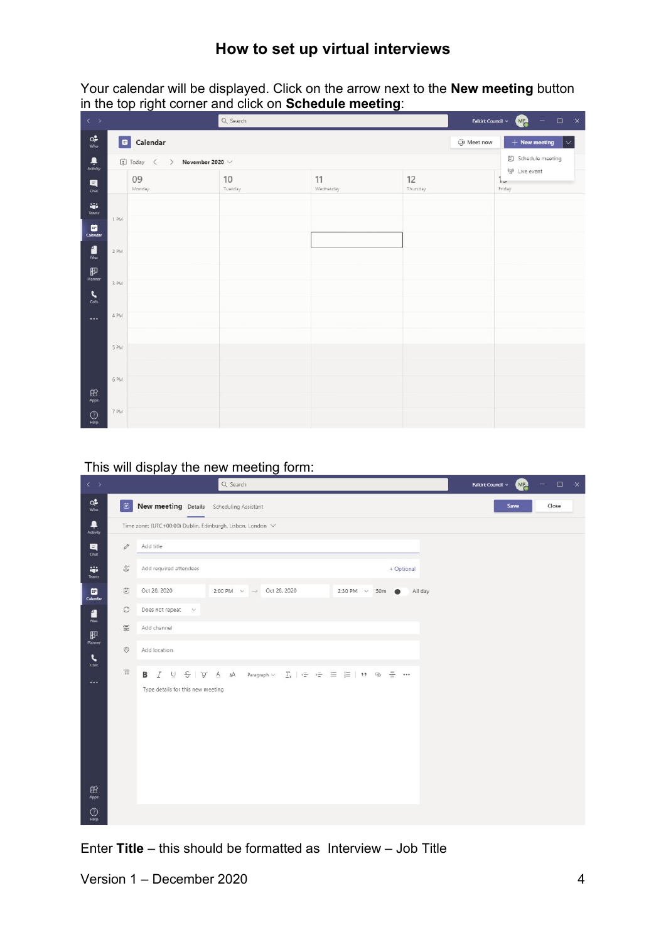Your calendar will be displayed. Click on the arrow next to the **New meeting** button in the top right corner and click on **Schedule meeting**:

| $\leftarrow$                                                               |        |                                          | Q Search      | Falkirk Council ~ | <b>QR</b><br>$\qquad \qquad \Box$<br>$\mathsf{x}$ |                                                           |
|----------------------------------------------------------------------------|--------|------------------------------------------|---------------|-------------------|---------------------------------------------------|-----------------------------------------------------------|
| $Q_{\text{who}}^2$                                                         |        | Calendar                                 |               |                   | ලි Meet now                                       | $+$ New meeting<br>$\checkmark$                           |
| $\begin{array}{c} \bullet \\ \bullet \\ \bullet \\ \bullet \\ \end{array}$ |        | 【D Today 〈 〉<br>November 2020 $\,\vee\,$ |               |                   |                                                   | <b>iii</b> Schedule meeting                               |
| $\blacksquare$<br>Chat                                                     |        | 09<br>Monday                             | 10<br>Tuesday | 11<br>Wednesday   | 12<br>Thursday                                    | <sup>6g9</sup> Live event<br>d<br>$\frac{1}{2}$<br>Friday |
| ŵ<br><b>Teams</b><br>₿                                                     | 1 PM   |                                          |               |                   |                                                   |                                                           |
| Calendar<br>$\frac{4}{Re}$                                                 | $2$ PM |                                          |               |                   |                                                   |                                                           |
| 甲<br>Planner<br>$\epsilon$                                                 | 3 PM   |                                          |               |                   |                                                   |                                                           |
| Calls<br>$\cdots$                                                          | 4 PM   |                                          |               |                   |                                                   |                                                           |
|                                                                            | 5 PM   |                                          |               |                   |                                                   |                                                           |
| $\mathbb B$                                                                | 6 PM   |                                          |               |                   |                                                   |                                                           |
| Apps<br>$\bigodot_{\text{Holp}}$                                           | 7 PM   |                                          |               |                   |                                                   |                                                           |

This will display the new meeting form:

| $\leftarrow$ >                                                                                                                                                                                                                                                                                                                                                                             |                    | Q Search                                                                                                                                                                                                                                                                                                                                                                                                                                                                                                                                                                                                                 | QP.<br>$\Box$<br>$\mathsf{x}$<br>Falkirk Council ×<br>$=$ |
|--------------------------------------------------------------------------------------------------------------------------------------------------------------------------------------------------------------------------------------------------------------------------------------------------------------------------------------------------------------------------------------------|--------------------|--------------------------------------------------------------------------------------------------------------------------------------------------------------------------------------------------------------------------------------------------------------------------------------------------------------------------------------------------------------------------------------------------------------------------------------------------------------------------------------------------------------------------------------------------------------------------------------------------------------------------|-----------------------------------------------------------|
| $Q_{\text{who}}^2$                                                                                                                                                                                                                                                                                                                                                                         | $\bigoplus$        | New meeting Details Scheduling Assistant                                                                                                                                                                                                                                                                                                                                                                                                                                                                                                                                                                                 | Save<br>Close                                             |
| ٠<br>Activity                                                                                                                                                                                                                                                                                                                                                                              |                    | Time zone: (UTC+00:00) Dublin. Edinburgh. Lisbon. London V                                                                                                                                                                                                                                                                                                                                                                                                                                                                                                                                                               |                                                           |
| $\blacksquare$<br>Chat                                                                                                                                                                                                                                                                                                                                                                     | $\mathscr{O}$      | Add title                                                                                                                                                                                                                                                                                                                                                                                                                                                                                                                                                                                                                |                                                           |
| W.<br>Teams                                                                                                                                                                                                                                                                                                                                                                                | $\mathbb{G}^*$     | Add required attendees<br>+ Optional                                                                                                                                                                                                                                                                                                                                                                                                                                                                                                                                                                                     |                                                           |
| ▣<br>Calendar                                                                                                                                                                                                                                                                                                                                                                              | <b>E</b>           | 2:00 PM $\sim \rightarrow$ Oct 28, 2020<br>Oct 28, 2020<br>2:30 PM $\sim$ 30m $\bullet$<br>All day                                                                                                                                                                                                                                                                                                                                                                                                                                                                                                                       |                                                           |
| $\begin{array}{c} \begin{array}{c} \begin{array}{c} \begin{array}{c} \end{array} \end{array} \\ \text{First} \end{array} \end{array} \end{array}$                                                                                                                                                                                                                                          | $\mathcal{O}$      | Does not repeat $\sim$                                                                                                                                                                                                                                                                                                                                                                                                                                                                                                                                                                                                   |                                                           |
| $\underset{\text{Planmer}}{\mathbf{E}}% \underset{\text{Planmer}}{\mathbf{E}}=\sum_{i=1}^{n}e_{i}\mathbf{E}_{i}+\sum_{i=1}^{n}e_{i}\mathbf{E}_{i}+\sum_{i=1}^{n}e_{i} \mathbf{E}_{i}+\sum_{i=1}^{n}e_{i} \mathbf{E}_{i}+\sum_{i=1}^{n}e_{i} \mathbf{E}_{i}+\sum_{i=1}^{n}e_{i} \mathbf{E}_{i}+\sum_{i=1}^{n}e_{i} \mathbf{E}_{i}+\sum_{i=1}^{n}e_{i} \mathbf{E}_{i}+\sum_{i=1}^{n}e_{i} \$ | 冒                  | Add channel                                                                                                                                                                                                                                                                                                                                                                                                                                                                                                                                                                                                              |                                                           |
| $\cdot$<br>Calle                                                                                                                                                                                                                                                                                                                                                                           | $\circledcirc$     | Add location                                                                                                                                                                                                                                                                                                                                                                                                                                                                                                                                                                                                             |                                                           |
| $\cdots$                                                                                                                                                                                                                                                                                                                                                                                   | $\overleftarrow{}$ | $I \quad \underline{\cup} \quad \underline{\ominus} \quad   \quad \underline{\ominus} \quad \underline{\land} \quad \underline{\land} \quad \underline{\land} \quad \text{Paragraph} \vee \quad \underline{T_x} \mid \, \underline{\ominus} \quad \, \underline{\ominus} \quad \, \underline{\boxminus} \quad \, \underline{\boxminus} \quad \,   \quad \, \underline{\lozenge} \quad \, \underline{\boxminus} \quad   \quad \, \underline{\lozenge} \quad \,   \quad \, \underline{\lozenge} \quad \, \underline{\lozenge} \quad \,   \quad \, \underline{\lozenge} \quad \, \underline{\lozenge} \quad \, \ldots$<br>В |                                                           |
|                                                                                                                                                                                                                                                                                                                                                                                            |                    | Type details for this new meeting                                                                                                                                                                                                                                                                                                                                                                                                                                                                                                                                                                                        |                                                           |
|                                                                                                                                                                                                                                                                                                                                                                                            |                    |                                                                                                                                                                                                                                                                                                                                                                                                                                                                                                                                                                                                                          |                                                           |
|                                                                                                                                                                                                                                                                                                                                                                                            |                    |                                                                                                                                                                                                                                                                                                                                                                                                                                                                                                                                                                                                                          |                                                           |
|                                                                                                                                                                                                                                                                                                                                                                                            |                    |                                                                                                                                                                                                                                                                                                                                                                                                                                                                                                                                                                                                                          |                                                           |
| $\mathbf{B}$                                                                                                                                                                                                                                                                                                                                                                               |                    |                                                                                                                                                                                                                                                                                                                                                                                                                                                                                                                                                                                                                          |                                                           |
| Apps                                                                                                                                                                                                                                                                                                                                                                                       |                    |                                                                                                                                                                                                                                                                                                                                                                                                                                                                                                                                                                                                                          |                                                           |
| $\odot$<br>Holp                                                                                                                                                                                                                                                                                                                                                                            |                    |                                                                                                                                                                                                                                                                                                                                                                                                                                                                                                                                                                                                                          |                                                           |

Enter **Title** – this should be formatted as Interview – Job Title

Version 1 – December 2020 4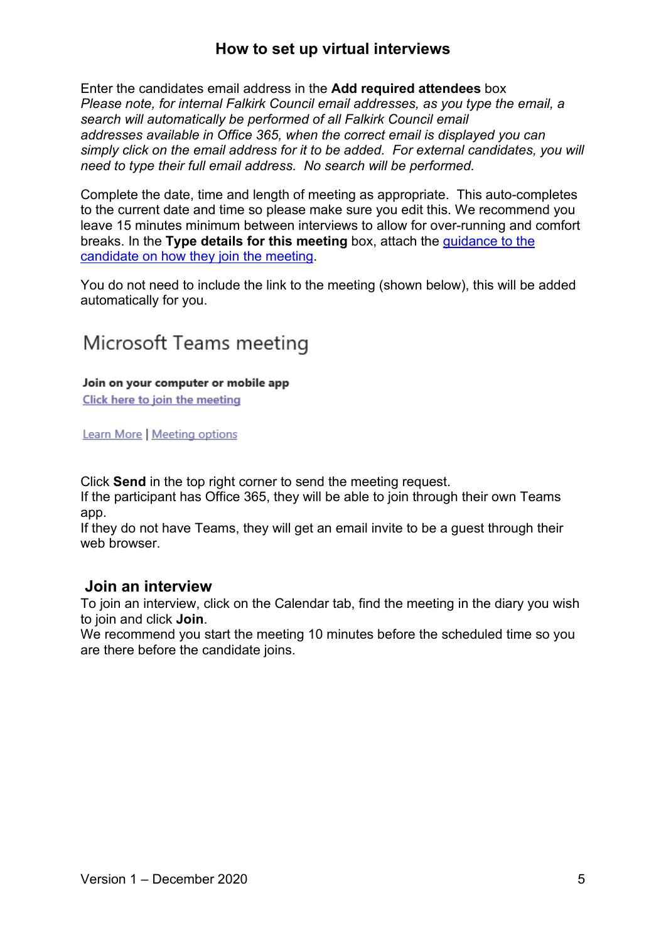Enter the candidates email address in the **Add required attendees** box *Please note, for internal Falkirk Council email addresses, as you type the email, a search will automatically be performed of all Falkirk Council email addresses available in Office 365, when the correct email is displayed you can simply click on the email address for it to be added. For external candidates, you will need to type their full email address. No search will be performed.*

Complete the date, time and length of meeting as appropriate. This auto-completes to the current date and time so please make sure you edit this. We recommend you leave 15 minutes minimum between interviews to allow for over-running and comfort breaks. In the **Type details for this meeting** box, attach the [guidance](https://www.falkirk.gov.uk/employees/policies/docs/hr/guidelines/Guidance%20for%20candidates%20on%20joining%20interviews%20on%20MS%20Teams.pdf?v=202101051203) to the [candidate on how they](https://www.falkirk.gov.uk/employees/policies/docs/hr/guidelines/Guidance%20for%20candidates%20on%20joining%20interviews%20on%20MS%20Teams.pdf?v=202101051203) join the meeting.

You do not need to include the link to the meeting (shown below), this will be added automatically for you.

# Microsoft Teams meeting

#### Join on your computer or mobile app

Click here to join the meeting

Learn More | Meeting options

Click **Send** in the top right corner to send the meeting request.

If the participant has Office 365, they will be able to join through their own Teams app.

If they do not have Teams, they will get an email invite to be a guest through their web browser.

#### <span id="page-4-0"></span>**Join an interview**

To join an interview, click on the Calendar tab, find the meeting in the diary you wish to join and click **Join**.

We recommend you start the meeting 10 minutes before the scheduled time so you are there before the candidate joins.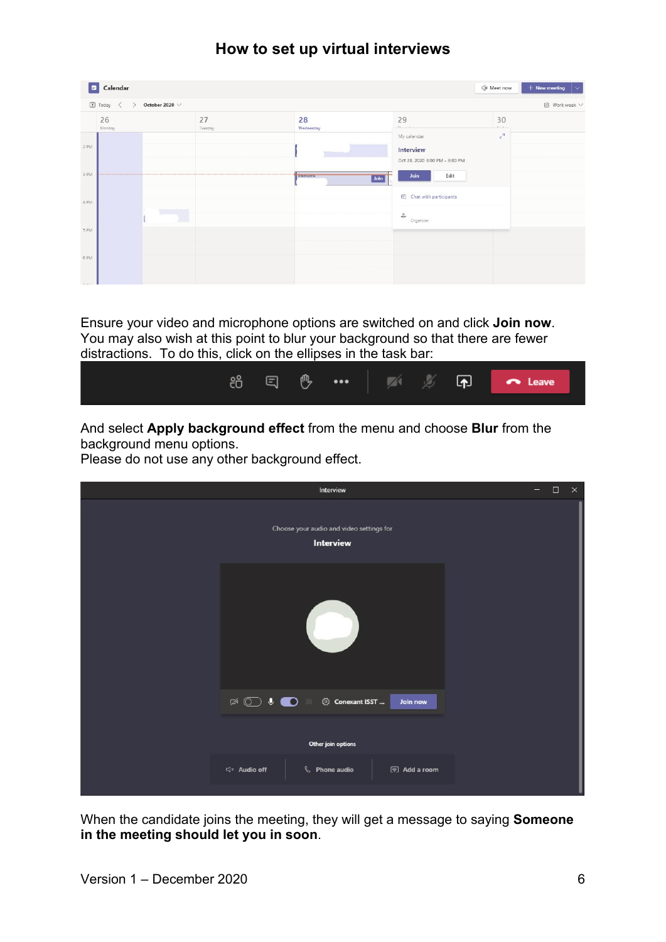| $\blacksquare$               | Calendar               |                         |               |                 |                                                                           | Of Meet now                  | $+$ New meeting<br>∣∼ |
|------------------------------|------------------------|-------------------------|---------------|-----------------|---------------------------------------------------------------------------|------------------------------|-----------------------|
|                              | $\Box$ Today $\langle$ | October 2020 $\,\vee\,$ |               |                 |                                                                           |                              | 茴 Work week V         |
|                              | 26<br>Monday           |                         | 27<br>Tuesday | 28<br>Wednesday | 29<br>$-1$<br>My calendar                                                 | 30<br>$-11$<br>$\frac{1}{k}$ |                       |
| 2 PM                         |                        |                         |               |                 | Interview<br>Oct 28, 2020 3:00 PM - 3:30 PM                               |                              |                       |
| 3 PM                         | <b>CONTRACTOR</b>      |                         |               | Interview       | Join<br>Edit<br>Join                                                      |                              |                       |
| 4 PM                         |                        |                         |               |                 | <b>同</b> Chat with participants<br>$\stackrel{\circ}{\circ}$<br>Organizer |                              |                       |
| 5 PM                         |                        |                         |               |                 |                                                                           |                              |                       |
| 6 PM<br>$\sim$ $\sim$ $\sim$ |                        |                         |               |                 |                                                                           |                              |                       |

Ensure your video and microphone options are switched on and click **Join now**. You may also wish at this point to blur your background so that there are fewer distractions. To do this, click on the ellipses in the task bar:



And select **Apply background effect** from the menu and choose **Blur** from the background menu options.

Please do not use any other background effect.

| Interview                                                                                                                                                                                                                                                                                                                                                                                                                                                                      | $\Box$ | $\times$ |
|--------------------------------------------------------------------------------------------------------------------------------------------------------------------------------------------------------------------------------------------------------------------------------------------------------------------------------------------------------------------------------------------------------------------------------------------------------------------------------|--------|----------|
| Choose your audio and video settings for<br>Interview                                                                                                                                                                                                                                                                                                                                                                                                                          |        |          |
|                                                                                                                                                                                                                                                                                                                                                                                                                                                                                |        |          |
| $\mathbb{R}^n \text{ and } \mathbb{R}^n \text{ is } \mathbb{R}^n \text{ and } \mathbb{R}^n \text{ is } \mathbb{R}^n \text{ and } \mathbb{R}^n \text{ is } \mathbb{R}^n \text{ and } \mathbb{R}^n \text{ is } \mathbb{R}^n \text{ and } \mathbb{R}^n \text{ is } \mathbb{R}^n \text{ and } \mathbb{R}^n \text{ is } \mathbb{R}^n \text{ and } \mathbb{R}^n \text{ is } \mathbb{R}^n \text{ and } \mathbb{R}^n \text{ is } \mathbb{R}^n \text{ and$<br>Conexant ISST<br>Join now |        |          |
| Other join options                                                                                                                                                                                                                                                                                                                                                                                                                                                             |        |          |
| <b>&amp;</b> Phone audio<br>√ Audio off<br>同 Add a room                                                                                                                                                                                                                                                                                                                                                                                                                        |        |          |

When the candidate joins the meeting, they will get a message to saying **Someone in the meeting should let you in soon**.